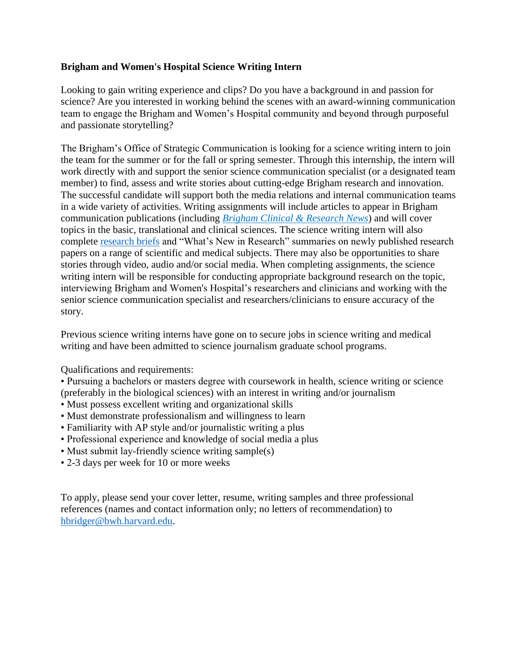# **Brigham and Women's Hospital Science Writing Intern**

Looking to gain writing experience and clips? Do you have a background in and passion for science? Are you interested in working behind the scenes with an award-winning communication team to engage the Brigham and Women's Hospital community and beyond through purposeful and passionate storytelling?

The Brigham's Office of Strategic Communication is looking for a science writing intern to join the team for the summer or for the fall or spring semester. Through this internship, the intern will work directly with and support the senior science communication specialist (or a designated team member) to find, assess and write stories about cutting-edge Brigham research and innovation. The successful candidate will support both the media relations and internal communication teams in a wide variety of activities. Writing assignments will include articles to appear in Brigham communication publications (including *Brigham [Clinical & Research News](http://bwhclinicalandresearchnews.org/)*) and will cover topics in the basic, translational and clinical sciences. The science writing intern will also complete [research briefs](http://www.brighamandwomens.org/about_bwh/publicaffairs/news/research-briefs/default.aspx?sub=0) and "What's New in Research" summaries on newly published research papers on a range of scientific and medical subjects. There may also be opportunities to share stories through video, audio and/or social media. When completing assignments, the science writing intern will be responsible for conducting appropriate background research on the topic, interviewing Brigham and Women's Hospital's researchers and clinicians and working with the senior science communication specialist and researchers/clinicians to ensure accuracy of the story.

Previous science writing interns have gone on to secure jobs in science writing and medical writing and have been admitted to science journalism graduate school programs.

Qualifications and requirements:

• Pursuing a bachelors or masters degree with coursework in health, science writing or science (preferably in the biological sciences) with an interest in writing and/or journalism

- Must possess excellent writing and organizational skills
- Must demonstrate professionalism and willingness to learn
- Familiarity with AP style and/or journalistic writing a plus
- Professional experience and knowledge of social media a plus
- Must submit lay-friendly science writing sample(s)
- 2-3 days per week for 10 or more weeks

To apply, please send your cover letter, resume, writing samples and three professional references (names and contact information only; no letters of recommendation) to [hbridger@bwh.harvard.edu.](mailto:hbridger@bwh.harvard.edu)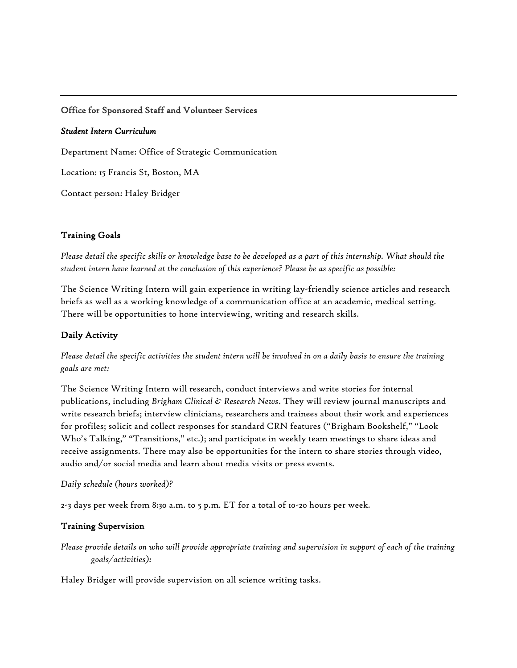## Office for Sponsored Staff and Volunteer Services

#### *Student Intern Curriculum*

Department Name: Office of Strategic Communication

Location: 15 Francis St, Boston, MA

Contact person: Haley Bridger

### Training Goals

*Please detail the specific skills or knowledge base to be developed as a part of this internship. What should the student intern have learned at the conclusion of this experience? Please be as specific as possible:* 

The Science Writing Intern will gain experience in writing lay-friendly science articles and research briefs as well as a working knowledge of a communication office at an academic, medical setting. There will be opportunities to hone interviewing, writing and research skills.

## Daily Activity

*Please detail the specific activities the student intern will be involved in on a daily basis to ensure the training goals are met:* 

The Science Writing Intern will research, conduct interviews and write stories for internal publications, including *Brigham Clinical & Research News*. They will review journal manuscripts and write research briefs; interview clinicians, researchers and trainees about their work and experiences for profiles; solicit and collect responses for standard CRN features ("Brigham Bookshelf," "Look Who's Talking," "Transitions," etc.); and participate in weekly team meetings to share ideas and receive assignments. There may also be opportunities for the intern to share stories through video, audio and/or social media and learn about media visits or press events.

#### *Daily schedule (hours worked)?*

2-3 days per week from 8:30 a.m. to 5 p.m. ET for a total of 10-20 hours per week.

#### Training Supervision

*Please provide details on who will provide appropriate training and supervision in support of each of the training goals/activities):* 

Haley Bridger will provide supervision on all science writing tasks.